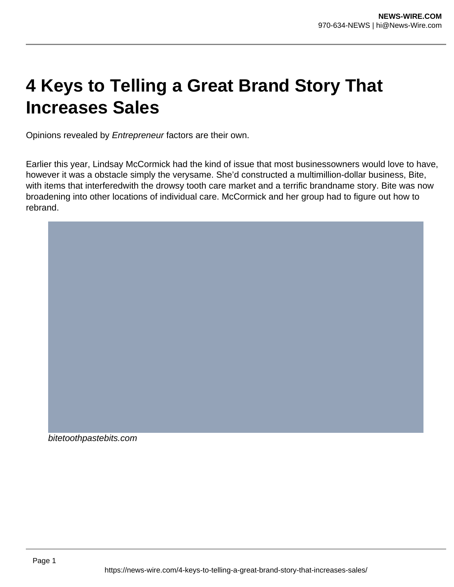# **4 Keys to Telling a Great Brand Story That Increases Sales**

Opinions revealed by Entrepreneur factors are their own.

Earlier this year, Lindsay McCormick had the kind of issue that most businessowners would love to have, however it was a obstacle simply the verysame. She'd constructed a multimillion-dollar business, Bite, with items that interferedwith the drowsy tooth care market and a terrific brandname story. Bite was now broadening into other locations of individual care. McCormick and her group had to figure out how to rebrand.

bitetoothpastebits.com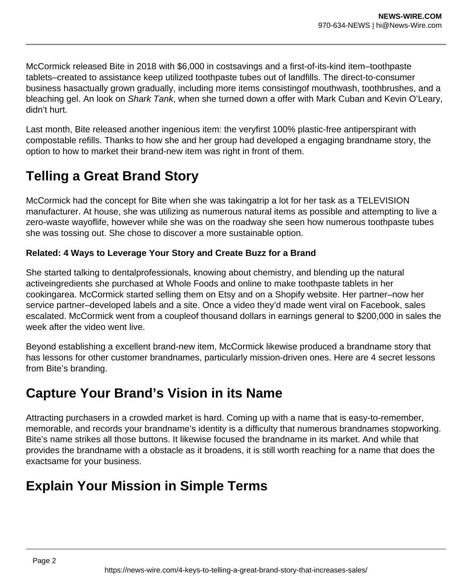McCormick released Bite in 2018 with \$6,000 in costsavings and a first-of-its-kind item–toothpaste tablets–created to assistance keep utilized toothpaste tubes out of landfills. The direct-to-consumer business hasactually grown gradually, including more items consistingof mouthwash, toothbrushes, and a bleaching gel. An look on Shark Tank, when she turned down a offer with Mark Cuban and Kevin O'Leary, didn't hurt.

Last month, Bite released another ingenious item: the veryfirst 100% plastic-free antiperspirant with compostable refills. Thanks to how she and her group had developed a engaging brandname story, the option to how to market their brand-new item was right in front of them.

# **Telling a Great Brand Story**

McCormick had the concept for Bite when she was takingatrip a lot for her task as a TELEVISION manufacturer. At house, she was utilizing as numerous natural items as possible and attempting to live a zero-waste wayoflife, however while she was on the roadway she seen how numerous toothpaste tubes she was tossing out. She chose to discover a more sustainable option.

#### **Related: 4 Ways to Leverage Your Story and Create Buzz for a Brand**

She started talking to dentalprofessionals, knowing about chemistry, and blending up the natural activeingredients she purchased at Whole Foods and online to make toothpaste tablets in her cookingarea. McCormick started selling them on Etsy and on a Shopify website. Her partner–now her service partner–developed labels and a site. Once a video they'd made went viral on Facebook, sales escalated. McCormick went from a coupleof thousand dollars in earnings general to \$200,000 in sales the week after the video went live.

Beyond establishing a excellent brand-new item, McCormick likewise produced a brandname story that has lessons for other customer brandnames, particularly mission-driven ones. Here are 4 secret lessons from Bite's branding.

### **Capture Your Brand's Vision in its Name**

Attracting purchasers in a crowded market is hard. Coming up with a name that is easy-to-remember, memorable, and records your brandname's identity is a difficulty that numerous brandnames stopworking. Bite's name strikes all those buttons. It likewise focused the brandname in its market. And while that provides the brandname with a obstacle as it broadens, it is still worth reaching for a name that does the exactsame for your business.

# **Explain Your Mission in Simple Terms**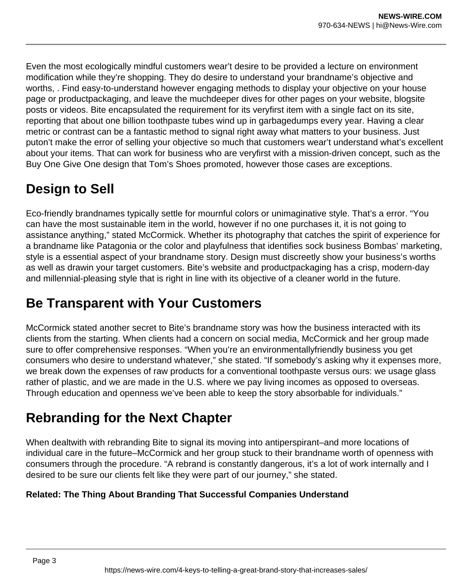Even the most ecologically mindful customers wear't desire to be provided a lecture on environment modification while they're shopping. They do desire to understand your brandname's objective and worths, . Find easy-to-understand however engaging methods to display your objective on your house page or productpackaging, and leave the muchdeeper dives for other pages on your website, blogsite posts or videos. Bite encapsulated the requirement for its veryfirst item with a single fact on its site, reporting that about one billion toothpaste tubes wind up in garbagedumps every year. Having a clear metric or contrast can be a fantastic method to signal right away what matters to your business. Just puton't make the error of selling your objective so much that customers wear't understand what's excellent about your items. That can work for business who are veryfirst with a mission-driven concept, such as the Buy One Give One design that Tom's Shoes promoted, however those cases are exceptions.

### **Design to Sell**

Eco-friendly brandnames typically settle for mournful colors or unimaginative style. That's a error. "You can have the most sustainable item in the world, however if no one purchases it, it is not going to assistance anything," stated McCormick. Whether its photography that catches the spirit of experience for a brandname like Patagonia or the color and playfulness that identifies sock business Bombas' marketing, style is a essential aspect of your brandname story. Design must discreetly show your business's worths as well as drawin your target customers. Bite's website and productpackaging has a crisp, modern-day and millennial-pleasing style that is right in line with its objective of a cleaner world in the future.

### **Be Transparent with Your Customers**

McCormick stated another secret to Bite's brandname story was how the business interacted with its clients from the starting. When clients had a concern on social media, McCormick and her group made sure to offer comprehensive responses. "When you're an environmentallyfriendly business you get consumers who desire to understand whatever," she stated. "If somebody's asking why it expenses more, we break down the expenses of raw products for a conventional toothpaste versus ours: we usage glass rather of plastic, and we are made in the U.S. where we pay living incomes as opposed to overseas. Through education and openness we've been able to keep the story absorbable for individuals."

# **Rebranding for the Next Chapter**

When dealtwith with rebranding Bite to signal its moving into antiperspirant–and more locations of individual care in the future–McCormick and her group stuck to their brandname worth of openness with consumers through the procedure. "A rebrand is constantly dangerous, it's a lot of work internally and I desired to be sure our clients felt like they were part of our journey," she stated.

#### **Related: The Thing About Branding That Successful Companies Understand**